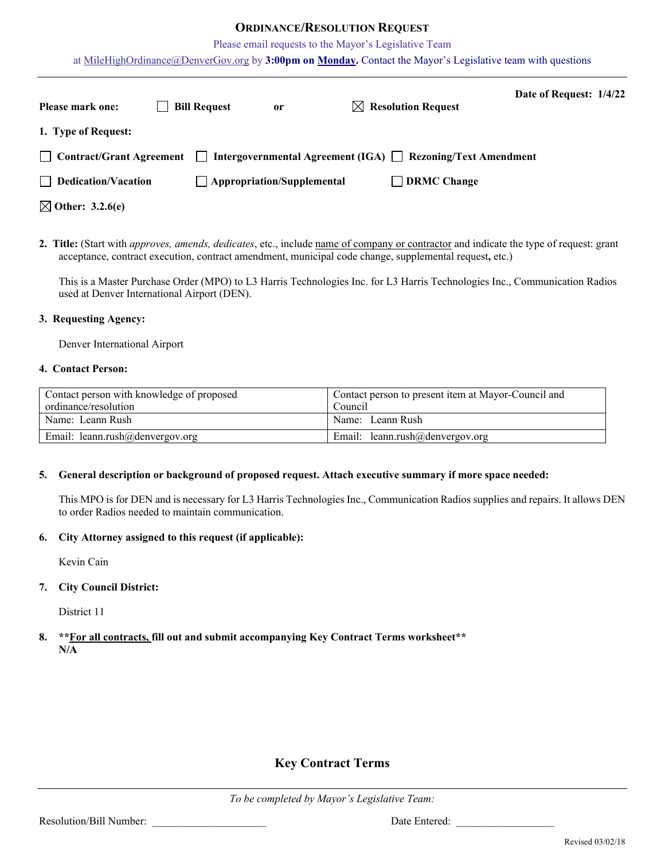# **ORDINANCE/RESOLUTION REQUEST**

Please email requests to the Mayor's Legislative Team

at [MileHighOrdinance@DenverGov.org](mailto:MileHighOrdinance@DenverGov.org) by **3:00pm on Monday.** Contact the Mayor's Legislative team with questions

| <b>Please mark one:</b>     | <b>Bill Request</b> | or                                | $\boxtimes$ Resolution Request                                   | Date of Request: 1/4/22 |  |
|-----------------------------|---------------------|-----------------------------------|------------------------------------------------------------------|-------------------------|--|
| 1. Type of Request:         |                     |                                   |                                                                  |                         |  |
| Contract/Grant Agreement    | $\perp$             |                                   | Intergovernmental Agreement (IGA) $\Box$ Rezoning/Text Amendment |                         |  |
| $\Box$ Dedication/Vacation  |                     | $\Box$ Appropriation/Supplemental | $\Box$ DRMC Change                                               |                         |  |
| $\boxtimes$ Other: 3.2.6(e) |                     |                                   |                                                                  |                         |  |

**2. Title:** (Start with *approves, amends, dedicates*, etc., include name of company or contractor and indicate the type of request: grant acceptance, contract execution, contract amendment, municipal code change, supplemental request**,** etc.)

This is a Master Purchase Order (MPO) to L3 Harris Technologies Inc. for L3 Harris Technologies Inc., Communication Radios used at Denver International Airport (DEN).

#### **3. Requesting Agency:**

Denver International Airport

#### **4. Contact Person:**

| Contact person with knowledge of proposed | Contact person to present item at Mayor-Council and |  |  |  |
|-------------------------------------------|-----------------------------------------------------|--|--|--|
| ordinance/resolution                      | Council                                             |  |  |  |
| Name: Leann Rush                          | Name: Leann Rush                                    |  |  |  |
| Email: leann.rush@denvergov.org           | Email: leann.rush@denvergov.org                     |  |  |  |

## **5. General description or background of proposed request. Attach executive summary if more space needed:**

This MPO is for DEN and is necessary for L3 Harris Technologies Inc., Communication Radios supplies and repairs. It allows DEN to order Radios needed to maintain communication.

#### **6. City Attorney assigned to this request (if applicable):**

Kevin Cain

## **7. City Council District:**

District 11

## **8. \*\*For all contracts, fill out and submit accompanying Key Contract Terms worksheet\*\* N/A**

# **Key Contract Terms**